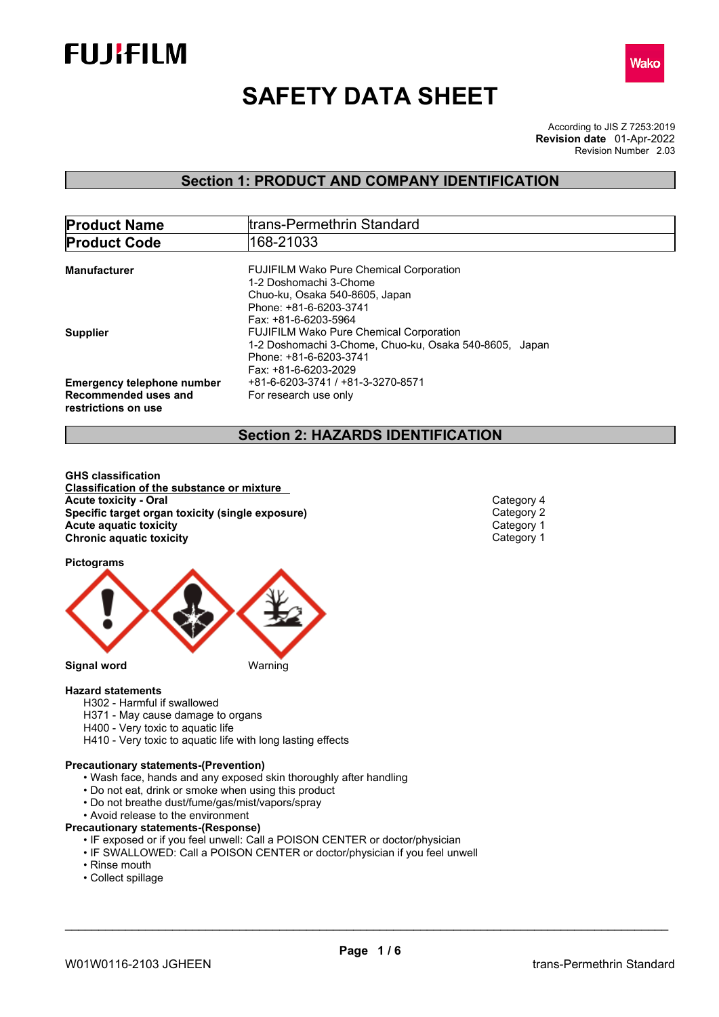



# **SAFETY DATA SHEET**

According to JIS Z 7253:2019 Revision Number 2.03 **Revision date** 01-Apr-2022

## **Section 1: PRODUCT AND COMPANY IDENTIFICATION**

| <b>Product Name</b>                                                              | trans-Permethrin Standard                                                                                                                                  |  |  |  |
|----------------------------------------------------------------------------------|------------------------------------------------------------------------------------------------------------------------------------------------------------|--|--|--|
| <b>Product Code</b>                                                              | 168-21033                                                                                                                                                  |  |  |  |
| Manufacturer                                                                     | <b>FUJIFILM Wako Pure Chemical Corporation</b><br>1-2 Doshomachi 3-Chome                                                                                   |  |  |  |
|                                                                                  | Chuo-ku, Osaka 540-8605, Japan<br>Phone: +81-6-6203-3741<br>Fax: +81-6-6203-5964                                                                           |  |  |  |
| <b>Supplier</b>                                                                  | <b>FUJIFILM Wako Pure Chemical Corporation</b><br>1-2 Doshomachi 3-Chome, Chuo-ku, Osaka 540-8605, Japan<br>Phone: +81-6-6203-3741<br>Fax: +81-6-6203-2029 |  |  |  |
| <b>Emergency telephone number</b><br>Recommended uses and<br>restrictions on use | +81-6-6203-3741 / +81-3-3270-8571<br>For research use only                                                                                                 |  |  |  |

## **Section 2: HAZARDS IDENTIFICATION**

**GHS classification Classification of the substance or mixture Acute toxicity - Oral Category 4**<br> **Acute toxicity - Category 4**<br> **Specific target organ toxicity (single exposure) Category 2 Specific target organ toxicity (single exposure) Category 2 Category 2<br>
<b>Acute aquatic toxicity** Category 1 **Acute** aquatic toxicity Category 1<br> **Chronic aquatic toxicity** Chronic aquatic toxicity Category 1 **Chronic aquatic toxicity** 

**Pictograms**



#### **Hazard statements**

- H302 Harmful if swallowed
- H371 May cause damage to organs
- H400 Very toxic to aquatic life
- H410 Very toxic to aquatic life with long lasting effects

#### **Precautionary statements-(Prevention)**

- Wash face, hands and any exposed skin thoroughly after handling
- Do not eat, drink or smoke when using this product
- Do not breathe dust/fume/gas/mist/vapors/spray
- Avoid release to the environment
- **Precautionary statements-(Response)**
	- IF exposed or if you feel unwell: Call a POISON CENTER or doctor/physician
	- IF SWALLOWED: Call a POISON CENTER or doctor/physician if you feel unwell
	- Rinse mouth
	- Collect spillage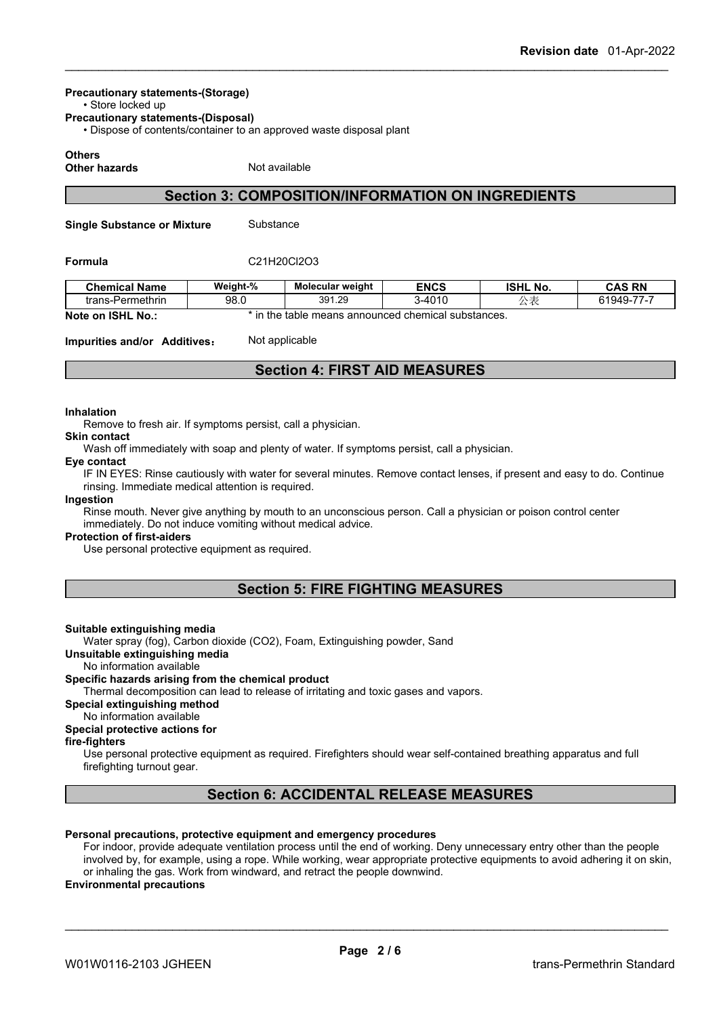## **Precautionary statements-(Storage)**

• Store locked up

**Precautionary statements-(Disposal)**

• Dispose of contents/container to an approved waste disposal plant

#### **Others**

**Other hazards** Not available

## **Section 3: COMPOSITION/INFORMATION ON INGREDIENTS**

**Single Substance or Mixture** Substance

#### **Formula** C21H20Cl2O3

| <b>Chemical Name</b> | Weight-% | <b>Molecular weight</b> | <b>ENCS</b>                            | <b>ISHL No.</b> | <b>CAS RN</b> |
|----------------------|----------|-------------------------|----------------------------------------|-----------------|---------------|
| trans-Permethrin     | 98.0     | 391.29                  | 3-4010                                 | $\sim$          | 61949-77-7    |
| Note on ISHL<br>' No | the      | : table                 | e means announced chemical substances. |                 |               |

**Impurities and/or Additives:** Not applicable

## **Section 4: FIRST AID MEASURES**

#### **Inhalation**

Remove to fresh air. If symptoms persist, call a physician.

#### **Skin contact**

Wash off immediately with soap and plenty of water. If symptoms persist, call a physician. **Eye contact**

#### IF IN EYES: Rinse cautiously with water for several minutes. Remove contact lenses, if present and easy to do. Continue

rinsing. Immediate medical attention is required.

#### **Ingestion**

Rinse mouth. Never give anything by mouth to an unconscious person. Call a physician or poison control center immediately. Do not induce vomiting without medical advice.

#### **Protection of first-aiders**

Use personal protective equipment as required.

## **Section 5: FIRE FIGHTING MEASURES**

#### **Suitable extinguishing media**

Water spray (fog), Carbon dioxide (CO2), Foam, Extinguishing powder, Sand

**Unsuitable extinguishing media**

No information available

#### **Specific hazards arising from the chemical product**

Thermal decomposition can lead to release of irritating and toxic gases and vapors.

#### **Special extinguishing method**

No information available

#### **Special protective actions for**

#### **fire-fighters**

Use personal protective equipment as required.Firefighters should wear self-contained breathing apparatus and full firefighting turnout gear.

## **Section 6: ACCIDENTAL RELEASE MEASURES**

#### **Personal precautions, protective equipment and emergency procedures**

For indoor, provide adequate ventilation process until the end of working. Deny unnecessary entry other than the people involved by, for example, using a rope. While working, wear appropriate protective equipments to avoid adhering it on skin, or inhaling the gas. Work from windward, and retract the people downwind.

#### **Environmental precautions**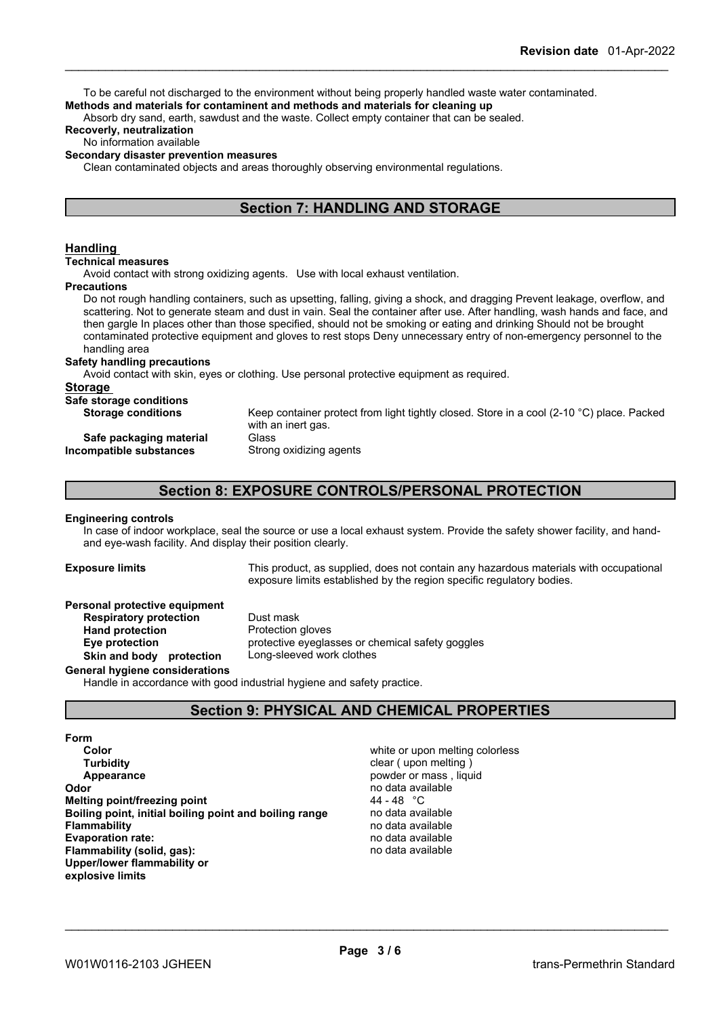To be careful not discharged to the environment without being properly handled waste water contaminated. **Methods and materials for contaminent and methods and materials for cleaning up**

Absorb dry sand, earth, sawdust and the waste. Collect empty container that can be sealed.

#### **Recoverly, neutralization**

#### No information available

#### **Secondary disaster prevention measures**

Clean contaminated objects and areas thoroughly observing environmental regulations.

## **Section 7: HANDLING AND STORAGE**

#### **Handling**

**Technical measures**

Avoid contact with strong oxidizing agents. Use with local exhaust ventilation.

#### **Precautions**

Do not rough handling containers, such as upsetting, falling, giving a shock, and dragging Prevent leakage, overflow, and scattering. Not to generate steam and dust in vain. Seal the container after use. After handling, wash hands and face, and then gargle In places other than those specified, should not be smoking or eating and drinking Should not be brought contaminated protective equipment and gloves to rest stops Deny unnecessary entry of non-emergency personnel to the handling area

#### **Safety handling precautions**

Avoid contact with skin, eyes or clothing. Use personal protective equipment as required.

#### **Storage**

| Safe storage conditions   |                                                                                           |
|---------------------------|-------------------------------------------------------------------------------------------|
| <b>Storage conditions</b> | Keep container protect from light tightly closed. Store in a cool (2-10 °C) place. Packed |
|                           | with an inert gas.                                                                        |
| Safe packaging material   | Glass                                                                                     |
| Incompatible substances   | Strong oxidizing agents                                                                   |
|                           |                                                                                           |

## **Section 8: EXPOSURE CONTROLS/PERSONAL PROTECTION**

#### **Engineering controls**

In case of indoor workplace, seal the source or use a local exhaust system. Provide the safety shower facility, and handand eye-wash facility. And display their position clearly.

**Exposure limits** This product, as supplied, does not contain any hazardous materials with occupational exposure limits established by the region specific regulatory bodies.

#### **Personal protective equipment**

**Respiratory protection** Dust mask **Hand protection** Protection gloves **Eye protection** protective eyeglasses or chemical safety goggles **Skin and body protection** Long-sleeved work clothes

#### **General hygiene considerations**

Handle in accordance with good industrial hygiene and safety practice.

## **Section 9: PHYSICAL AND CHEMICAL PROPERTIES**

#### **Form**

**Color Color Color Color Color Color Color Color Color Color Color Color Color Color Color Color Color Color Color Color Color Color Color Color Color Color Color Color Turbidity Clear ( upon melting ) Turbidity Clear ( upon melting ) Appearance Appearance powder or mass**, liquid **Odor powder or mass** , liquid **Odor Melting point/freezing point Boiling point, initial boiling point and boiling range** no data available **Flammability**<br> **Evaporation rate:**<br> **Evaporation rate:**<br> **Evaporation rate: Evaporation rate:** no data available **Flammability** (solid, gas): **Upper/lower flammability or explosive limits**

no data available<br>44 - 48 °C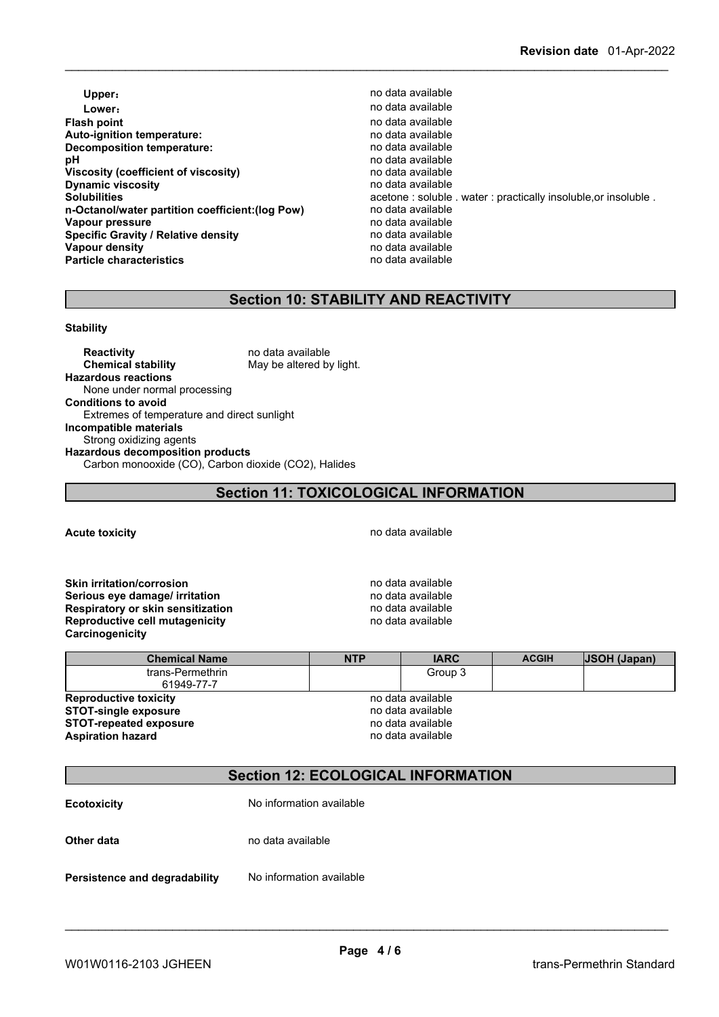- **Upper**: **no data available Lower**: **Contract and Contract and Contract available** contract and contract and contract available **Flash point point** *point point point point point point point point point point point point point point point point point point point point* **Auto-ignition temperature:** no data available **Decomposition temperature:**<br> **pH** no data available<br>
no data available **Viscosity (coefficient of viscosity)** no data available<br> **Dynamic viscosity no data available Dynamic viscosity**<br>Solubilities **n-Octanol/water partition coefficient:(log Pow)** no data available **Vapour pressure**<br> **Specific Gravity / Relative density**<br> **Specific Gravity / Relative density**<br> **Property** and the notata available **Specific Gravity / Relative density Vapour density**<br> **Particle characteristics**<br> **Particle characteristics**<br> **Particle characteristics Particle characteristics** 
	- **pH** no data available acetone : soluble . water : practically insoluble, or insoluble .

## **Section 10: STABILITY AND REACTIVITY**

#### **Stability**

**Reactivity** no data available<br> **Chemical stability** May be altered by May be altered by light. **Hazardous reactions** None under normal processing **Conditions to avoid** Extremes of temperature and direct sunlight **Incompatible materials** Strong oxidizing agents **Hazardous decomposition products** Carbon monooxide (CO), Carbon dioxide (CO2), Halides

## **Section 11: TOXICOLOGICAL INFORMATION**

**Acute toxicity Acute toxicity hotal Acute toxicity hotal hotal hotal hotal hotal hotal hotal hotal hotal hotal hotal hotal hotal hotal hotal hotal hotal hotal hotal hotal** 

**Skin irritation/corrosion no data available Serious eye damage/ irritation by a strategier of the serious eye damage/ irritation Respiratory or skin sensitization** no data available **Reproductive cell mutagenicity no data available Carcinogenicity**

| <b>Chemical Name</b>           | <b>NTP</b> | <b>IARC</b>       | <b>ACGIH</b> | <b>JSOH</b> (Japan) |
|--------------------------------|------------|-------------------|--------------|---------------------|
| trans-Permethrin<br>61949-77-7 |            | Group 3           |              |                     |
| <b>Reproductive toxicity</b>   |            | no data available |              |                     |
| <b>STOT-single exposure</b>    |            | no data available |              |                     |
| <b>STOT-repeated exposure</b>  |            | no data available |              |                     |
| <b>Aspiration hazard</b>       |            | no data available |              |                     |

## **Section 12: ECOLOGICAL INFORMATION**

| <b>Ecotoxicity</b>            | No information available |
|-------------------------------|--------------------------|
| Other data                    | no data available        |
| Persistence and degradability | No information available |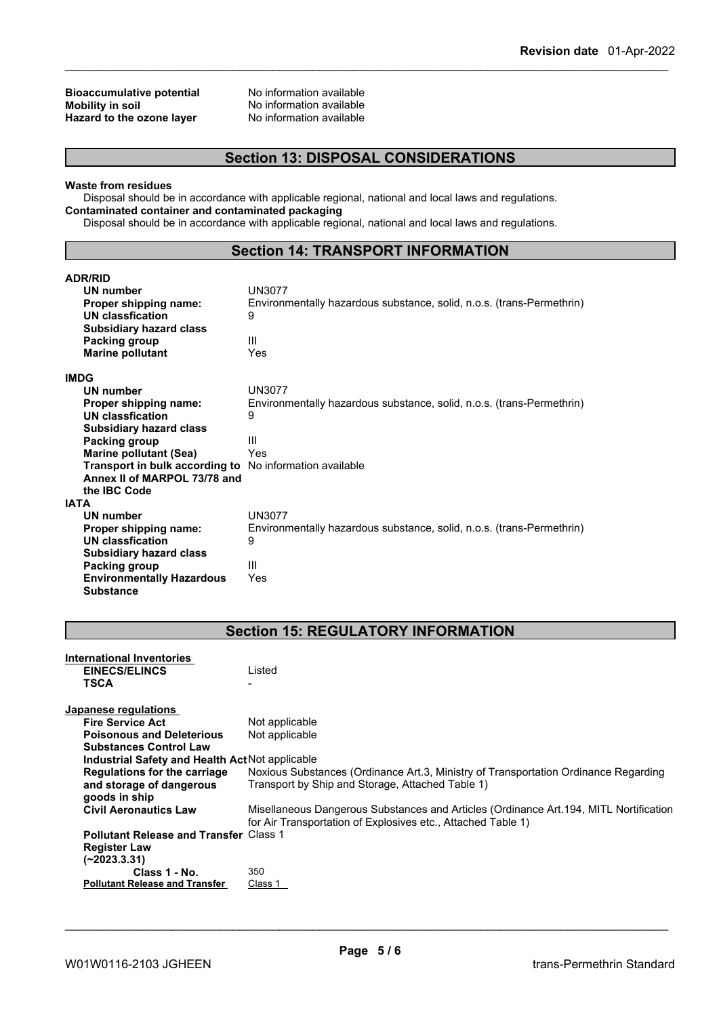## **Bioaccumulative potential** No information available<br> **Mobility in soil** No information available **Hazard** to the ozone layer

No information available<br>No information available

## **Section 13: DISPOSAL CONSIDERATIONS**

#### **Waste from residues**

Disposal should be in accordance with applicable regional, national and local laws and regulations. **Contaminated container and contaminated packaging**

Disposal should be in accordance with applicable regional, national and local laws and regulations.

### **Section 14: TRANSPORT INFORMATION**

| <b>ADR/RID</b>                   |                                                                       |
|----------------------------------|-----------------------------------------------------------------------|
| <b>UN number</b>                 | <b>UN3077</b>                                                         |
| Proper shipping name:            | Environmentally hazardous substance, solid, n.o.s. (trans-Permethrin) |
| <b>UN classfication</b>          | 9                                                                     |
| <b>Subsidiary hazard class</b>   |                                                                       |
| Packing group                    | Ш                                                                     |
| <b>Marine pollutant</b>          | Yes                                                                   |
| <b>IMDG</b>                      |                                                                       |
| <b>UN number</b>                 | <b>UN3077</b>                                                         |
| Proper shipping name:            | Environmentally hazardous substance, solid, n.o.s. (trans-Permethrin) |
| <b>UN classfication</b>          | 9                                                                     |
| <b>Subsidiary hazard class</b>   |                                                                       |
| Packing group                    | Ш                                                                     |
| <b>Marine pollutant (Sea)</b>    | Yes                                                                   |
| Transport in bulk according to   | No information available                                              |
| Annex II of MARPOL 73/78 and     |                                                                       |
| the <b>IBC</b> Code              |                                                                       |
| <b>IATA</b>                      |                                                                       |
| UN number                        | <b>UN3077</b>                                                         |
| Proper shipping name:            | Environmentally hazardous substance, solid, n.o.s. (trans-Permethrin) |
| <b>UN classfication</b>          | 9                                                                     |
| <b>Subsidiary hazard class</b>   |                                                                       |
| Packing group                    | Ш                                                                     |
| <b>Environmentally Hazardous</b> | Yes                                                                   |
| <b>Substance</b>                 |                                                                       |

## **Section 15: REGULATORY INFORMATION**

| International Inventories                       |                                                                                        |
|-------------------------------------------------|----------------------------------------------------------------------------------------|
| <b>EINECS/ELINCS</b>                            | Listed                                                                                 |
| TSCA                                            |                                                                                        |
|                                                 |                                                                                        |
| Japanese regulations                            |                                                                                        |
| <b>Fire Service Act</b>                         | Not applicable                                                                         |
| <b>Poisonous and Deleterious</b>                | Not applicable                                                                         |
| <b>Substances Control Law</b>                   |                                                                                        |
| Industrial Safety and Health Act Not applicable |                                                                                        |
| <b>Regulations for the carriage</b>             | Noxious Substances (Ordinance Art.3, Ministry of Transportation Ordinance Regarding    |
| and storage of dangerous                        | Transport by Ship and Storage, Attached Table 1)                                       |
| goods in ship                                   |                                                                                        |
| <b>Civil Aeronautics Law</b>                    | Misellaneous Dangerous Substances and Articles (Ordinance Art. 194, MITL Nortification |
|                                                 | for Air Transportation of Explosives etc., Attached Table 1)                           |
| <b>Pollutant Release and Transfer Class 1</b>   |                                                                                        |
| <b>Register Law</b>                             |                                                                                        |
| $(-2023.3.31)$                                  |                                                                                        |
| Class 1 - No.                                   | 350                                                                                    |
| <b>Pollutant Release and Transfer</b>           | Class 1                                                                                |
|                                                 |                                                                                        |